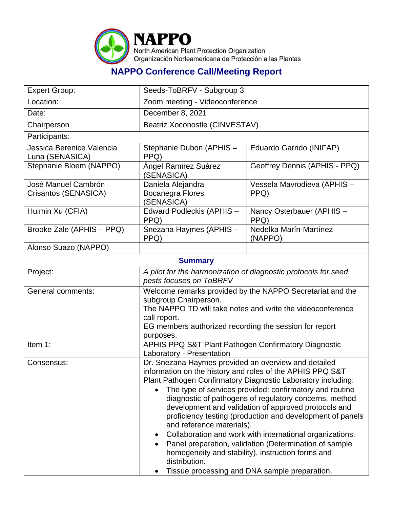

## **NAPPO Conference Call/Meeting Report**

| <b>Expert Group:</b>                         | Seeds-ToBRFV - Subgroup 3                                                                                                                                                                                                                                                                                                                                                                                                                                                                                                                                                                                                                                                                             |                                   |  |  |  |
|----------------------------------------------|-------------------------------------------------------------------------------------------------------------------------------------------------------------------------------------------------------------------------------------------------------------------------------------------------------------------------------------------------------------------------------------------------------------------------------------------------------------------------------------------------------------------------------------------------------------------------------------------------------------------------------------------------------------------------------------------------------|-----------------------------------|--|--|--|
| Location:                                    | Zoom meeting - Videoconference                                                                                                                                                                                                                                                                                                                                                                                                                                                                                                                                                                                                                                                                        |                                   |  |  |  |
| Date:                                        | December 8, 2021                                                                                                                                                                                                                                                                                                                                                                                                                                                                                                                                                                                                                                                                                      |                                   |  |  |  |
| Chairperson                                  | Beatriz Xoconostle (CINVESTAV)                                                                                                                                                                                                                                                                                                                                                                                                                                                                                                                                                                                                                                                                        |                                   |  |  |  |
| Participants:                                |                                                                                                                                                                                                                                                                                                                                                                                                                                                                                                                                                                                                                                                                                                       |                                   |  |  |  |
| Jessica Berenice Valencia<br>Luna (SENASICA) | Stephanie Dubon (APHIS -<br>PPQ)                                                                                                                                                                                                                                                                                                                                                                                                                                                                                                                                                                                                                                                                      | Eduardo Garrido (INIFAP)          |  |  |  |
| Stephanie Bloem (NAPPO)                      | Ángel Ramírez Suárez<br>Geoffrey Dennis (APHIS - PPQ)<br>(SENASICA)                                                                                                                                                                                                                                                                                                                                                                                                                                                                                                                                                                                                                                   |                                   |  |  |  |
| José Manuel Cambrón<br>Crisantos (SENASICA)  | Daniela Alejandra<br>Vessela Mavrodieva (APHIS -<br><b>Bocanegra Flores</b><br>PPQ)<br>(SENASICA)                                                                                                                                                                                                                                                                                                                                                                                                                                                                                                                                                                                                     |                                   |  |  |  |
| Huimin Xu (CFIA)                             | Edward Podleckis (APHIS -<br>PPQ)                                                                                                                                                                                                                                                                                                                                                                                                                                                                                                                                                                                                                                                                     | Nancy Osterbauer (APHIS -<br>PPQ) |  |  |  |
| Brooke Zale (APHIS - PPQ)                    | Snezana Haymes (APHIS -<br>PPQ)                                                                                                                                                                                                                                                                                                                                                                                                                                                                                                                                                                                                                                                                       | Nedelka Marín-Martínez<br>(NAPPO) |  |  |  |
| Alonso Suazo (NAPPO)                         |                                                                                                                                                                                                                                                                                                                                                                                                                                                                                                                                                                                                                                                                                                       |                                   |  |  |  |
|                                              | <b>Summary</b>                                                                                                                                                                                                                                                                                                                                                                                                                                                                                                                                                                                                                                                                                        |                                   |  |  |  |
| Project:                                     | A pilot for the harmonization of diagnostic protocols for seed<br>pests focuses on ToBRFV                                                                                                                                                                                                                                                                                                                                                                                                                                                                                                                                                                                                             |                                   |  |  |  |
| General comments:                            | Welcome remarks provided by the NAPPO Secretariat and the<br>subgroup Chairperson.<br>The NAPPO TD will take notes and write the videoconference<br>call report.<br>EG members authorized recording the session for report<br>purposes.                                                                                                                                                                                                                                                                                                                                                                                                                                                               |                                   |  |  |  |
| Item 1:                                      | APHIS PPQ S&T Plant Pathogen Confirmatory Diagnostic<br>Laboratory - Presentation                                                                                                                                                                                                                                                                                                                                                                                                                                                                                                                                                                                                                     |                                   |  |  |  |
| Consensus:                                   | Dr. Snezana Haymes provided an overview and detailed<br>information on the history and roles of the APHIS PPQ S&T<br>Plant Pathogen Confirmatory Diagnostic Laboratory including:<br>The type of services provided: confirmatory and routine<br>diagnostic of pathogens of regulatory concerns, method<br>development and validation of approved protocols and<br>proficiency testing (production and development of panels<br>and reference materials).<br>Collaboration and work with international organizations.<br>Panel preparation, validation (Determination of sample<br>homogeneity and stability), instruction forms and<br>distribution.<br>Tissue processing and DNA sample preparation. |                                   |  |  |  |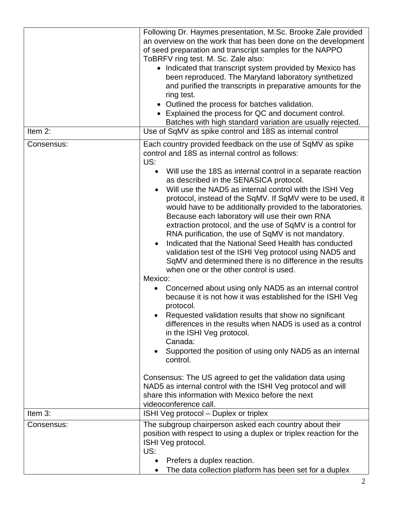| Item 2:    | Following Dr. Haymes presentation, M.Sc. Brooke Zale provided<br>an overview on the work that has been done on the development<br>of seed preparation and transcript samples for the NAPPO<br>ToBRFV ring test. M. Sc. Zale also:<br>• Indicated that transcript system provided by Mexico has<br>been reproduced. The Maryland laboratory synthetized<br>and purified the transcripts in preparative amounts for the<br>ring test.<br>• Outlined the process for batches validation.<br>• Explained the process for QC and document control.<br>Batches with high standard variation are usually rejected.<br>Use of SqMV as spike control and 18S as internal control                                                                                                                                                                                                                                                                                                                                                                                                                                                                                                                                                                                                                                                                                                                                                                                |
|------------|--------------------------------------------------------------------------------------------------------------------------------------------------------------------------------------------------------------------------------------------------------------------------------------------------------------------------------------------------------------------------------------------------------------------------------------------------------------------------------------------------------------------------------------------------------------------------------------------------------------------------------------------------------------------------------------------------------------------------------------------------------------------------------------------------------------------------------------------------------------------------------------------------------------------------------------------------------------------------------------------------------------------------------------------------------------------------------------------------------------------------------------------------------------------------------------------------------------------------------------------------------------------------------------------------------------------------------------------------------------------------------------------------------------------------------------------------------|
|            |                                                                                                                                                                                                                                                                                                                                                                                                                                                                                                                                                                                                                                                                                                                                                                                                                                                                                                                                                                                                                                                                                                                                                                                                                                                                                                                                                                                                                                                        |
| Consensus: | Each country provided feedback on the use of SqMV as spike<br>control and 18S as internal control as follows:<br>US:<br>Will use the 18S as internal control in a separate reaction<br>as described in the SENASICA protocol.<br>Will use the NAD5 as internal control with the ISHI Veg<br>$\bullet$<br>protocol, instead of the SqMV. If SqMV were to be used, it<br>would have to be additionally provided to the laboratories.<br>Because each laboratory will use their own RNA<br>extraction protocol, and the use of SqMV is a control for<br>RNA purification, the use of SqMV is not mandatory.<br>Indicated that the National Seed Health has conducted<br>validation test of the ISHI Veg protocol using NAD5 and<br>SqMV and determined there is no difference in the results<br>when one or the other control is used.<br>Mexico:<br>Concerned about using only NAD5 as an internal control<br>٠<br>because it is not how it was established for the ISHI Veg<br>protocol.<br>Requested validation results that show no significant<br>differences in the results when NAD5 is used as a control<br>in the ISHI Veg protocol.<br>Canada:<br>Supported the position of using only NAD5 as an internal<br>$\bullet$<br>control.<br>Consensus: The US agreed to get the validation data using<br>NAD5 as internal control with the ISHI Veg protocol and will<br>share this information with Mexico before the next<br>videoconference call. |
| Item 3:    | ISHI Veg protocol - Duplex or triplex                                                                                                                                                                                                                                                                                                                                                                                                                                                                                                                                                                                                                                                                                                                                                                                                                                                                                                                                                                                                                                                                                                                                                                                                                                                                                                                                                                                                                  |
| Consensus: | The subgroup chairperson asked each country about their<br>position with respect to using a duplex or triplex reaction for the<br>ISHI Veg protocol.<br>US:<br>Prefers a duplex reaction.<br>The data collection platform has been set for a duplex                                                                                                                                                                                                                                                                                                                                                                                                                                                                                                                                                                                                                                                                                                                                                                                                                                                                                                                                                                                                                                                                                                                                                                                                    |